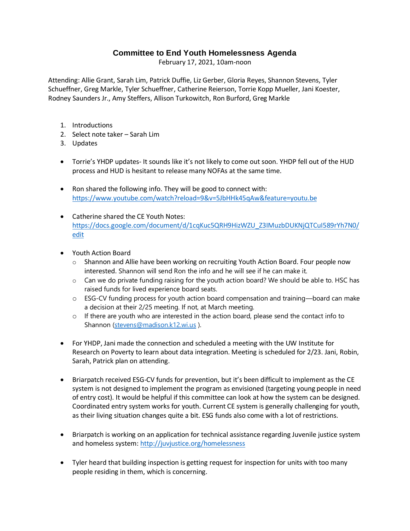## **Committee to End Youth Homelessness Agenda**

February 17, 2021, 10am-noon

Attending: Allie Grant, Sarah Lim, Patrick Duffie, Liz Gerber, Gloria Reyes, Shannon Stevens, Tyler Schueffner, Greg Markle, Tyler Schueffner, Catherine Reierson, Torrie Kopp Mueller, Jani Koester, Rodney Saunders Jr., Amy Steffers, Allison Turkowitch, Ron Burford, Greg Markle

- 1. Introductions
- 2. Select note taker Sarah Lim
- 3. Updates
- Torrie's YHDP updates- It sounds like it's not likely to come out soon. YHDP fell out of the HUD process and HUD is hesitant to release many NOFAs at the same time.
- Ron shared the following info. They will be good to connect with: <https://www.youtube.com/watch?reload=9&v=5JbHHk45qAw&feature=youtu.be>
- Catherine shared the CE Youth Notes: [https://docs.google.com/document/d/1cqKuc5QRH9HizWZU\\_Z3IMuzbDUKNjQTCuI589rYh7N0/](https://docs.google.com/document/d/1cqKuc5QRH9HizWZU_Z3IMuzbDUKNjQTCuI589rYh7N0/edit) [edit](https://docs.google.com/document/d/1cqKuc5QRH9HizWZU_Z3IMuzbDUKNjQTCuI589rYh7N0/edit)
- Youth Action Board
	- $\circ$  Shannon and Allie have been working on recruiting Youth Action Board. Four people now interested. Shannon will send Ron the info and he will see if he can make it.
	- o Can we do private funding raising for the youth action board? We should be able to. HSC has raised funds for lived experience board seats.
	- o ESG-CV funding process for youth action board compensation and training—board can make a decision at their 2/25 meeting. If not, at March meeting.
	- $\circ$  If there are youth who are interested in the action board, please send the contact info to Shannon [\(stevens@madison.k12.wi.us](mailto:stevens@madison.k12.wi.us)).
- For YHDP, Jani made the connection and scheduled a meeting with the UW Institute for Research on Poverty to learn about data integration. Meeting is scheduled for 2/23. Jani, Robin, Sarah, Patrick plan on attending.
- Briarpatch received ESG-CV funds for prevention, but it's been difficult to implement as the CE system is not designed to implement the program as envisioned (targeting young people in need of entry cost). It would be helpful if this committee can look at how the system can be designed. Coordinated entry system works for youth. Current CE system is generally challenging for youth, as their living situation changes quite a bit. ESG funds also come with a lot of restrictions.
- Briarpatch is working on an application for technical assistance regarding Juvenile justice system and homeless system[: http://juvjustice.org/homelessness](http://juvjustice.org/homelessness)
- Tyler heard that building inspection is getting request for inspection for units with too many people residing in them, which is concerning.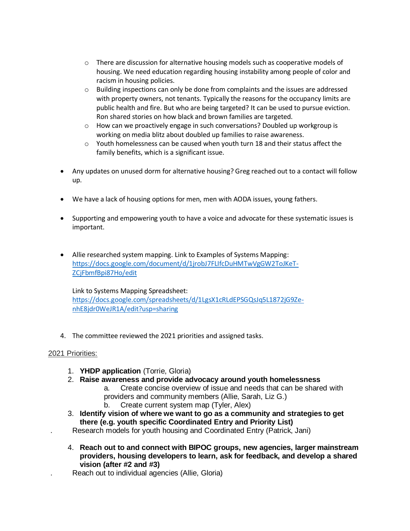- o There are discussion for alternative housing models such as cooperative models of housing. We need education regarding housing instability among people of color and racism in housing policies.
- $\circ$  Building inspections can only be done from complaints and the issues are addressed with property owners, not tenants. Typically the reasons for the occupancy limits are public health and fire. But who are being targeted? It can be used to pursue eviction. Ron shared stories on how black and brown families are targeted.
- o How can we proactively engage in such conversations? Doubled up workgroup is working on media blitz about doubled up families to raise awareness.
- $\circ$  Youth homelessness can be caused when youth turn 18 and their status affect the family benefits, which is a significant issue.
- Any updates on unused dorm for alternative housing? Greg reached out to a contact will follow up.
- We have a lack of housing options for men, men with AODA issues, young fathers.
- Supporting and empowering youth to have a voice and advocate for these systematic issues is important.
- Allie researched system mapping. Link to Examples of Systems Mapping: [https://docs.google.com/document/d/1jrobJ7FLIfcDuHMTwVgGW2ToJKeT-](https://docs.google.com/document/d/1jrobJ7FLIfcDuHMTwVgGW2ToJKeT-ZCjFbmfBpi87Ho/edit)[ZCjFbmfBpi87Ho/edit](https://docs.google.com/document/d/1jrobJ7FLIfcDuHMTwVgGW2ToJKeT-ZCjFbmfBpi87Ho/edit)

## Link to Systems Mapping Spreadsheet:

[https://docs.google.com/spreadsheets/d/1LgsX1cRLdEPSGQsJq5L1872jG9Ze](https://docs.google.com/spreadsheets/d/1LgsX1cRLdEPSGQsJq5L1872jG9Ze-nhE8jdr0WeJR1A/edit?usp=sharing)[nhE8jdr0WeJR1A/edit?usp=sharing](https://docs.google.com/spreadsheets/d/1LgsX1cRLdEPSGQsJq5L1872jG9Ze-nhE8jdr0WeJR1A/edit?usp=sharing)

4. The committee reviewed the 2021 priorities and assigned tasks.

## 2021 Priorities:

- 1. **YHDP application** (Torrie, Gloria)
- 2. **Raise awareness and provide advocacy around youth homelessness**
	- a. Create concise overview of issue and needs that can be shared with providers and community members (Allie, Sarah, Liz G.)
	- b. Create current system map (Tyler, Alex)
- 3. **Identify vision of where we want to go as a community and strategies to get there (e.g. youth specific Coordinated Entry and Priority List)**
- . Research models for youth housing and Coordinated Entry (Patrick, Jani)
- 4. **Reach out to and connect with BIPOC groups, new agencies, larger mainstream providers, housing developers to learn, ask for feedback, and develop a shared vision (after #2 and #3)**
- Reach out to individual agencies (Allie, Gloria)